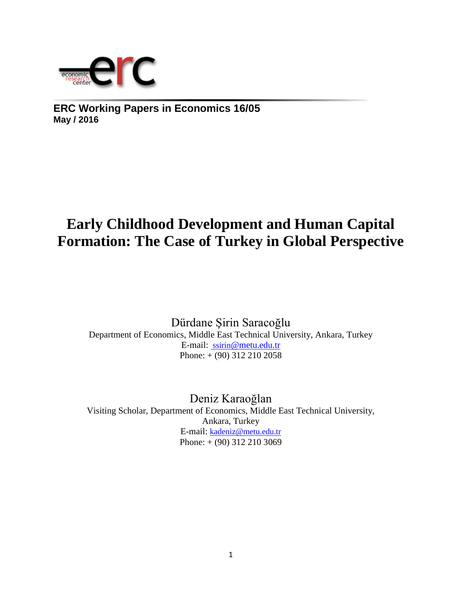

**ERC Working Papers in Economics 16/05 May / 2016**

# **Early Childhood Development and Human Capital Formation: The Case of Turkey in Global Perspective**

Dürdane Şirin Saracoğlu Department of Economics, Middle East Technical University, Ankara, Turkey E-mail: ssirin[@metu.edu.tr](mailto:%20ssirin@metu.edu.tr)  Phone: + (90) 312 210 2058

Deniz Karaoğlan Visiting Scholar, Department of Economics, Middle East Technical University, Ankara, Turkey E-mail: [kadeniz@metu.edu.tr](mailto:kadeniz@metu.edu.tr) Phone: + (90) 312 210 3069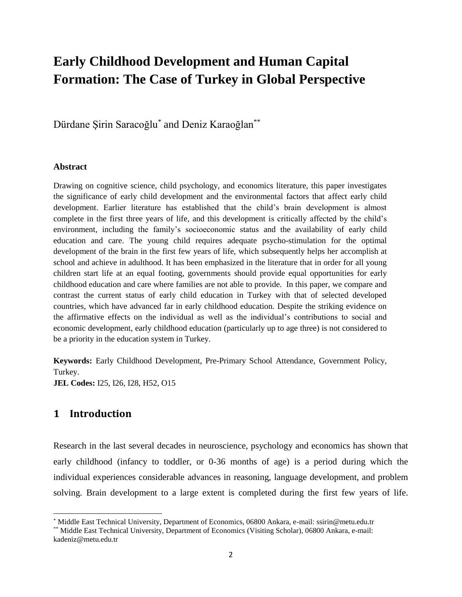# **Early Childhood Development and Human Capital Formation: The Case of Turkey in Global Perspective**

Dürdane Şirin Saracoğlu\* and Deniz Karaoğlan\*\*

#### **Abstract**

Drawing on cognitive science, child psychology, and economics literature, this paper investigates the significance of early child development and the environmental factors that affect early child development. Earlier literature has established that the child's brain development is almost complete in the first three years of life, and this development is critically affected by the child's environment, including the family's socioeconomic status and the availability of early child education and care. The young child requires adequate psycho-stimulation for the optimal development of the brain in the first few years of life, which subsequently helps her accomplish at school and achieve in adulthood. It has been emphasized in the literature that in order for all young children start life at an equal footing, governments should provide equal opportunities for early childhood education and care where families are not able to provide. In this paper, we compare and contrast the current status of early child education in Turkey with that of selected developed countries, which have advanced far in early childhood education. Despite the striking evidence on the affirmative effects on the individual as well as the individual's contributions to social and economic development, early childhood education (particularly up to age three) is not considered to be a priority in the education system in Turkey.

**Keywords:** Early Childhood Development, Pre-Primary School Attendance, Government Policy, Turkey.

**JEL Codes:** I25, I26, I28, H52, O15

### **1 Introduction**

 $\overline{a}$ 

Research in the last several decades in neuroscience, psychology and economics has shown that early childhood (infancy to toddler, or 0-36 months of age) is a period during which the individual experiences considerable advances in reasoning, language development, and problem solving. Brain development to a large extent is completed during the first few years of life.

Middle East Technical University, Department of Economics, 06800 Ankara, e-mail: ssirin@metu.edu.tr

Middle East Technical University, Department of Economics (Visiting Scholar), 06800 Ankara, e-mail: kadeniz@metu.edu.tr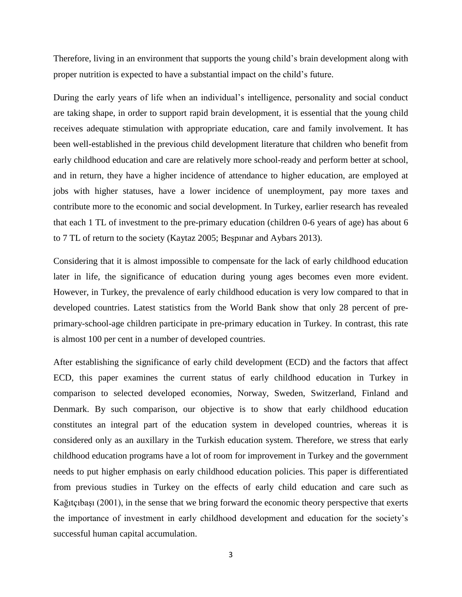Therefore, living in an environment that supports the young child's brain development along with proper nutrition is expected to have a substantial impact on the child's future.

During the early years of life when an individual's intelligence, personality and social conduct are taking shape, in order to support rapid brain development, it is essential that the young child receives adequate stimulation with appropriate education, care and family involvement. It has been well-established in the previous child development literature that children who benefit from early childhood education and care are relatively more school-ready and perform better at school, and in return, they have a higher incidence of attendance to higher education, are employed at jobs with higher statuses, have a lower incidence of unemployment, pay more taxes and contribute more to the economic and social development. In Turkey, earlier research has revealed that each 1 TL of investment to the pre-primary education (children 0-6 years of age) has about 6 to 7 TL of return to the society (Kaytaz 2005; Beşpınar and Aybars 2013).

Considering that it is almost impossible to compensate for the lack of early childhood education later in life, the significance of education during young ages becomes even more evident. However, in Turkey, the prevalence of early childhood education is very low compared to that in developed countries. Latest statistics from the World Bank show that only 28 percent of preprimary-school-age children participate in pre-primary education in Turkey. In contrast, this rate is almost 100 per cent in a number of developed countries.

After establishing the significance of early child development (ECD) and the factors that affect ECD, this paper examines the current status of early childhood education in Turkey in comparison to selected developed economies, Norway, Sweden, Switzerland, Finland and Denmark. By such comparison, our objective is to show that early childhood education constitutes an integral part of the education system in developed countries, whereas it is considered only as an auxillary in the Turkish education system. Therefore, we stress that early childhood education programs have a lot of room for improvement in Turkey and the government needs to put higher emphasis on early childhood education policies. This paper is differentiated from previous studies in Turkey on the effects of early child education and care such as Kağıtçıbaşı (2001), in the sense that we bring forward the economic theory perspective that exerts the importance of investment in early childhood development and education for the society's successful human capital accumulation.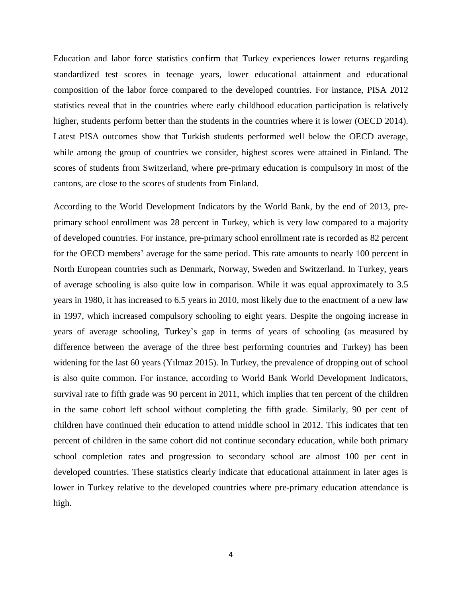Education and labor force statistics confirm that Turkey experiences lower returns regarding standardized test scores in teenage years, lower educational attainment and educational composition of the labor force compared to the developed countries. For instance, PISA 2012 statistics reveal that in the countries where early childhood education participation is relatively higher, students perform better than the students in the countries where it is lower (OECD 2014). Latest PISA outcomes show that Turkish students performed well below the OECD average, while among the group of countries we consider, highest scores were attained in Finland. The scores of students from Switzerland, where pre-primary education is compulsory in most of the cantons, are close to the scores of students from Finland.

According to the World Development Indicators by the World Bank, by the end of 2013, preprimary school enrollment was 28 percent in Turkey, which is very low compared to a majority of developed countries. For instance, pre-primary school enrollment rate is recorded as 82 percent for the OECD members' average for the same period. This rate amounts to nearly 100 percent in North European countries such as Denmark, Norway, Sweden and Switzerland. In Turkey, years of average schooling is also quite low in comparison. While it was equal approximately to 3.5 years in 1980, it has increased to 6.5 years in 2010, most likely due to the enactment of a new law in 1997, which increased compulsory schooling to eight years. Despite the ongoing increase in years of average schooling, Turkey's gap in terms of years of schooling (as measured by difference between the average of the three best performing countries and Turkey) has been widening for the last 60 years (Yılmaz 2015). In Turkey, the prevalence of dropping out of school is also quite common. For instance, according to World Bank World Development Indicators, survival rate to fifth grade was 90 percent in 2011, which implies that ten percent of the children in the same cohort left school without completing the fifth grade. Similarly, 90 per cent of children have continued their education to attend middle school in 2012. This indicates that ten percent of children in the same cohort did not continue secondary education, while both primary school completion rates and progression to secondary school are almost 100 per cent in developed countries. These statistics clearly indicate that educational attainment in later ages is lower in Turkey relative to the developed countries where pre-primary education attendance is high.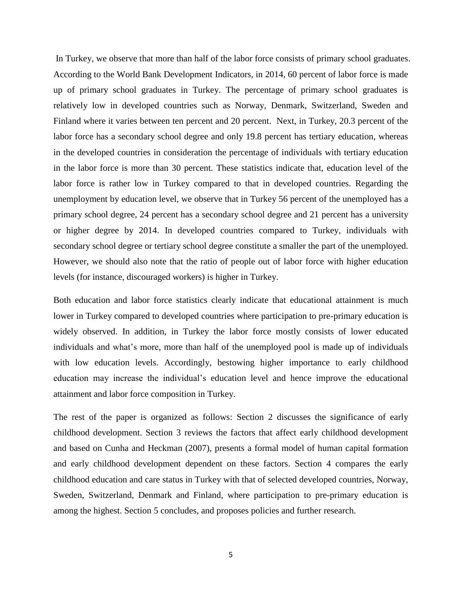In Turkey, we observe that more than half of the labor force consists of primary school graduates. According to the World Bank Development Indicators, in 2014, 60 percent of labor force is made up of primary school graduates in Turkey. The percentage of primary school graduates is relatively low in developed countries such as Norway, Denmark, Switzerland, Sweden and Finland where it varies between ten percent and 20 percent. Next, in Turkey, 20.3 percent of the labor force has a secondary school degree and only 19.8 percent has tertiary education, whereas in the developed countries in consideration the percentage of individuals with tertiary education in the labor force is more than 30 percent. These statistics indicate that, education level of the labor force is rather low in Turkey compared to that in developed countries. Regarding the unemployment by education level, we observe that in Turkey 56 percent of the unemployed has a primary school degree, 24 percent has a secondary school degree and 21 percent has a university or higher degree by 2014. In developed countries compared to Turkey, individuals with secondary school degree or tertiary school degree constitute a smaller the part of the unemployed. However, we should also note that the ratio of people out of labor force with higher education levels (for instance, discouraged workers) is higher in Turkey.

Both education and labor force statistics clearly indicate that educational attainment is much lower in Turkey compared to developed countries where participation to pre-primary education is widely observed. In addition, in Turkey the labor force mostly consists of lower educated individuals and what's more, more than half of the unemployed pool is made up of individuals with low education levels. Accordingly, bestowing higher importance to early childhood education may increase the individual's education level and hence improve the educational attainment and labor force composition in Turkey.

The rest of the paper is organized as follows: Section 2 discusses the significance of early childhood development. Section 3 reviews the factors that affect early childhood development and based on Cunha and Heckman (2007), presents a formal model of human capital formation and early childhood development dependent on these factors. Section 4 compares the early childhood education and care status in Turkey with that of selected developed countries, Norway, Sweden, Switzerland, Denmark and Finland, where participation to pre-primary education is among the highest. Section 5 concludes, and proposes policies and further research.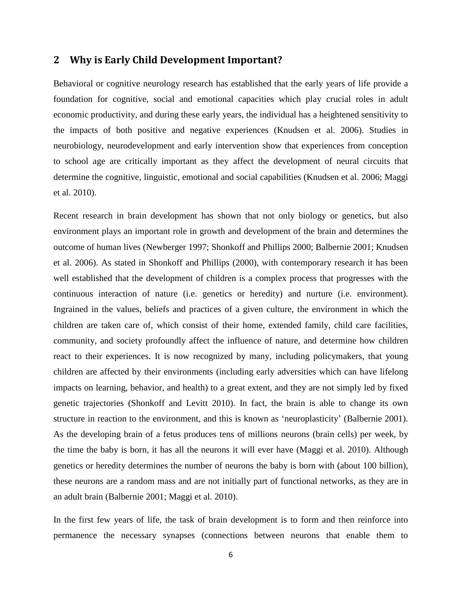## **2 Why is Early Child Development Important?**

Behavioral or cognitive neurology research has established that the early years of life provide a foundation for cognitive, social and emotional capacities which play crucial roles in adult economic productivity, and during these early years, the individual has a heightened sensitivity to the impacts of both positive and negative experiences (Knudsen et al. 2006). Studies in neurobiology, neurodevelopment and early intervention show that experiences from conception to school age are critically important as they affect the development of neural circuits that determine the cognitive, linguistic, emotional and social capabilities (Knudsen et al. 2006; Maggi et al. 2010).

Recent research in brain development has shown that not only biology or genetics, but also environment plays an important role in growth and development of the brain and determines the outcome of human lives (Newberger 1997; Shonkoff and Phillips 2000; Balbernie 2001; Knudsen et al. 2006). As stated in Shonkoff and Phillips (2000), with contemporary research it has been well established that the development of children is a complex process that progresses with the continuous interaction of nature (i.e. genetics or heredity) and nurture (i.e. environment). Ingrained in the values, beliefs and practices of a given culture, the environment in which the children are taken care of, which consist of their home, extended family, child care facilities, community, and society profoundly affect the influence of nature, and determine how children react to their experiences. It is now recognized by many, including policymakers, that young children are affected by their environments (including early adversities which can have lifelong impacts on learning, behavior, and health) to a great extent, and they are not simply led by fixed genetic trajectories (Shonkoff and Levitt 2010). In fact, the brain is able to change its own structure in reaction to the environment, and this is known as 'neuroplasticity' (Balbernie 2001). As the developing brain of a fetus produces tens of millions neurons (brain cells) per week, by the time the baby is born, it has all the neurons it will ever have (Maggi et al. 2010). Although genetics or heredity determines the number of neurons the baby is born with (about 100 billion), these neurons are a random mass and are not initially part of functional networks, as they are in an adult brain (Balbernie 2001; Maggi et al. 2010).

In the first few years of life, the task of brain development is to form and then reinforce into permanence the necessary synapses (connections between neurons that enable them to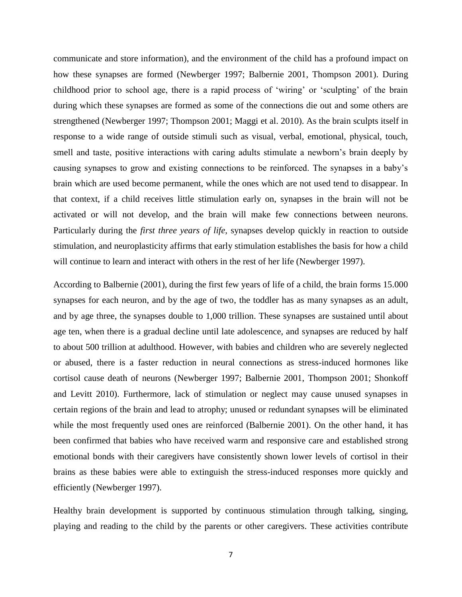communicate and store information), and the environment of the child has a profound impact on how these synapses are formed (Newberger 1997; Balbernie 2001, Thompson 2001). During childhood prior to school age, there is a rapid process of 'wiring' or 'sculpting' of the brain during which these synapses are formed as some of the connections die out and some others are strengthened (Newberger 1997; Thompson 2001; Maggi et al. 2010). As the brain sculpts itself in response to a wide range of outside stimuli such as visual, verbal, emotional, physical, touch, smell and taste, positive interactions with caring adults stimulate a newborn's brain deeply by causing synapses to grow and existing connections to be reinforced. The synapses in a baby's brain which are used become permanent, while the ones which are not used tend to disappear. In that context, if a child receives little stimulation early on, synapses in the brain will not be activated or will not develop, and the brain will make few connections between neurons. Particularly during the *first three years of life*, synapses develop quickly in reaction to outside stimulation, and neuroplasticity affirms that early stimulation establishes the basis for how a child will continue to learn and interact with others in the rest of her life (Newberger 1997).

According to Balbernie (2001), during the first few years of life of a child, the brain forms 15.000 synapses for each neuron, and by the age of two, the toddler has as many synapses as an adult, and by age three, the synapses double to 1,000 trillion. These synapses are sustained until about age ten, when there is a gradual decline until late adolescence, and synapses are reduced by half to about 500 trillion at adulthood. However, with babies and children who are severely neglected or abused, there is a faster reduction in neural connections as stress-induced hormones like cortisol cause death of neurons (Newberger 1997; Balbernie 2001, Thompson 2001; Shonkoff and Levitt 2010). Furthermore, lack of stimulation or neglect may cause unused synapses in certain regions of the brain and lead to atrophy; unused or redundant synapses will be eliminated while the most frequently used ones are reinforced (Balbernie 2001). On the other hand, it has been confirmed that babies who have received warm and responsive care and established strong emotional bonds with their caregivers have consistently shown lower levels of cortisol in their brains as these babies were able to extinguish the stress-induced responses more quickly and efficiently (Newberger 1997).

Healthy brain development is supported by continuous stimulation through talking, singing, playing and reading to the child by the parents or other caregivers. These activities contribute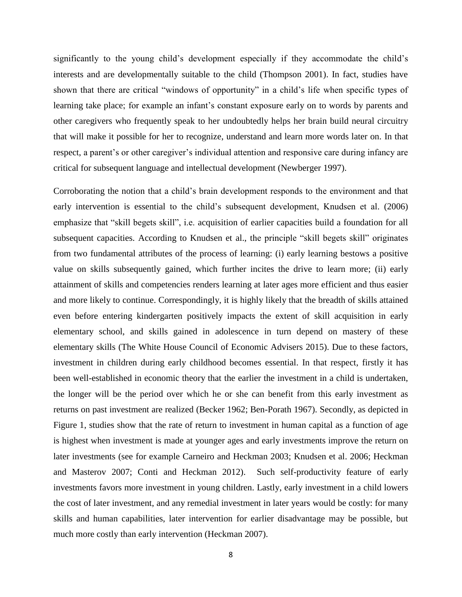significantly to the young child's development especially if they accommodate the child's interests and are developmentally suitable to the child (Thompson 2001). In fact, studies have shown that there are critical "windows of opportunity" in a child's life when specific types of learning take place; for example an infant's constant exposure early on to words by parents and other caregivers who frequently speak to her undoubtedly helps her brain build neural circuitry that will make it possible for her to recognize, understand and learn more words later on. In that respect, a parent's or other caregiver's individual attention and responsive care during infancy are critical for subsequent language and intellectual development (Newberger 1997).

Corroborating the notion that a child's brain development responds to the environment and that early intervention is essential to the child's subsequent development, Knudsen et al. (2006) emphasize that "skill begets skill", i.e. acquisition of earlier capacities build a foundation for all subsequent capacities. According to Knudsen et al., the principle "skill begets skill" originates from two fundamental attributes of the process of learning: (i) early learning bestows a positive value on skills subsequently gained, which further incites the drive to learn more; (ii) early attainment of skills and competencies renders learning at later ages more efficient and thus easier and more likely to continue. Correspondingly, it is highly likely that the breadth of skills attained even before entering kindergarten positively impacts the extent of skill acquisition in early elementary school, and skills gained in adolescence in turn depend on mastery of these elementary skills (The White House Council of Economic Advisers 2015). Due to these factors, investment in children during early childhood becomes essential. In that respect, firstly it has been well-established in economic theory that the earlier the investment in a child is undertaken, the longer will be the period over which he or she can benefit from this early investment as returns on past investment are realized (Becker 1962; Ben-Porath 1967). Secondly, as depicted in Figure 1, studies show that the rate of return to investment in human capital as a function of age is highest when investment is made at younger ages and early investments improve the return on later investments (see for example Carneiro and Heckman 2003; Knudsen et al. 2006; Heckman and Masterov 2007; Conti and Heckman 2012). Such self-productivity feature of early investments favors more investment in young children. Lastly, early investment in a child lowers the cost of later investment, and any remedial investment in later years would be costly: for many skills and human capabilities, later intervention for earlier disadvantage may be possible, but much more costly than early intervention (Heckman 2007).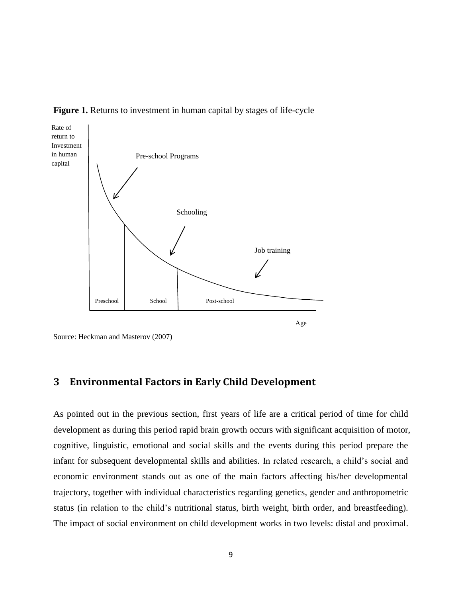



Source: Heckman and Masterov (2007)

## **3 Environmental Factors in Early Child Development**

As pointed out in the previous section, first years of life are a critical period of time for child development as during this period rapid brain growth occurs with significant acquisition of motor, cognitive, linguistic, emotional and social skills and the events during this period prepare the infant for subsequent developmental skills and abilities. In related research, a child's social and economic environment stands out as one of the main factors affecting his/her developmental trajectory, together with individual characteristics regarding genetics, gender and anthropometric status (in relation to the child's nutritional status, birth weight, birth order, and breastfeeding). The impact of social environment on child development works in two levels: distal and proximal.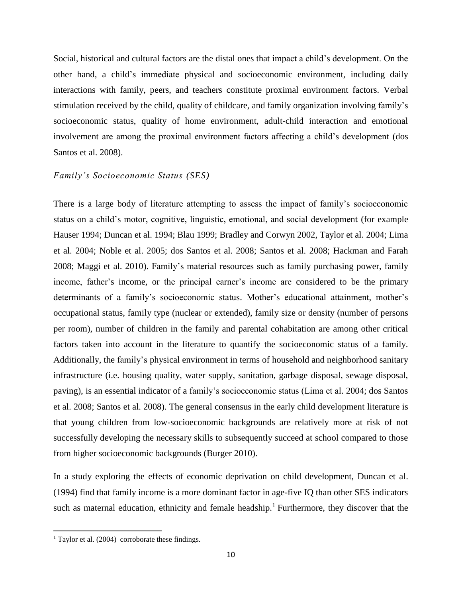Social, historical and cultural factors are the distal ones that impact a child's development. On the other hand, a child's immediate physical and socioeconomic environment, including daily interactions with family, peers, and teachers constitute proximal environment factors. Verbal stimulation received by the child, quality of childcare, and family organization involving family's socioeconomic status, quality of home environment, adult-child interaction and emotional involvement are among the proximal environment factors affecting a child's development (dos Santos et al. 2008).

#### *Family's Socioeconomic Status (SES)*

There is a large body of literature attempting to assess the impact of family's socioeconomic status on a child's motor, cognitive, linguistic, emotional, and social development (for example Hauser 1994; Duncan et al. 1994; Blau 1999; Bradley and Corwyn 2002, Taylor et al. 2004; Lima et al. 2004; Noble et al. 2005; dos Santos et al. 2008; Santos et al. 2008; Hackman and Farah 2008; Maggi et al. 2010). Family's material resources such as family purchasing power, family income, father's income, or the principal earner's income are considered to be the primary determinants of a family's socioeconomic status. Mother's educational attainment, mother's occupational status, family type (nuclear or extended), family size or density (number of persons per room), number of children in the family and parental cohabitation are among other critical factors taken into account in the literature to quantify the socioeconomic status of a family. Additionally, the family's physical environment in terms of household and neighborhood sanitary infrastructure (i.e. housing quality, water supply, sanitation, garbage disposal, sewage disposal, paving), is an essential indicator of a family's socioeconomic status (Lima et al. 2004; dos Santos et al. 2008; Santos et al. 2008). The general consensus in the early child development literature is that young children from low-socioeconomic backgrounds are relatively more at risk of not successfully developing the necessary skills to subsequently succeed at school compared to those from higher socioeconomic backgrounds (Burger 2010).

In a study exploring the effects of economic deprivation on child development, Duncan et al. (1994) find that family income is a more dominant factor in age-five IQ than other SES indicators such as maternal education, ethnicity and female headship.<sup>1</sup> Furthermore, they discover that the

 $\overline{a}$ 

<sup>&</sup>lt;sup>1</sup> Taylor et al.  $(2004)$  corroborate these findings.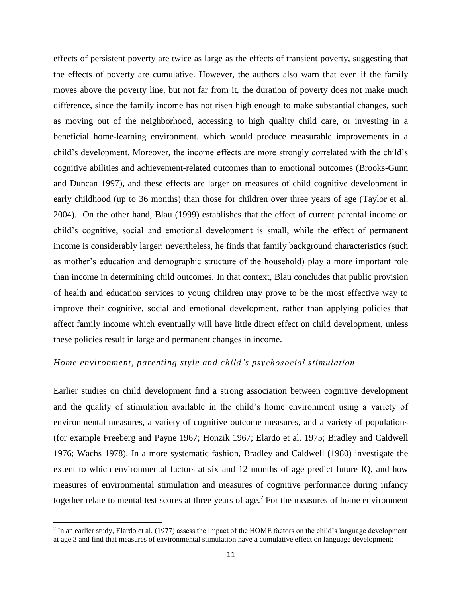effects of persistent poverty are twice as large as the effects of transient poverty, suggesting that the effects of poverty are cumulative. However, the authors also warn that even if the family moves above the poverty line, but not far from it, the duration of poverty does not make much difference, since the family income has not risen high enough to make substantial changes, such as moving out of the neighborhood, accessing to high quality child care, or investing in a beneficial home-learning environment, which would produce measurable improvements in a child's development. Moreover, the income effects are more strongly correlated with the child's cognitive abilities and achievement-related outcomes than to emotional outcomes (Brooks-Gunn and Duncan 1997), and these effects are larger on measures of child cognitive development in early childhood (up to 36 months) than those for children over three years of age (Taylor et al. 2004). On the other hand, Blau (1999) establishes that the effect of current parental income on child's cognitive, social and emotional development is small, while the effect of permanent income is considerably larger; nevertheless, he finds that family background characteristics (such as mother's education and demographic structure of the household) play a more important role than income in determining child outcomes. In that context, Blau concludes that public provision of health and education services to young children may prove to be the most effective way to improve their cognitive, social and emotional development, rather than applying policies that affect family income which eventually will have little direct effect on child development, unless these policies result in large and permanent changes in income.

#### *Home environment, parenting style and child's psychosocial stimulation*

Earlier studies on child development find a strong association between cognitive development and the quality of stimulation available in the child's home environment using a variety of environmental measures, a variety of cognitive outcome measures, and a variety of populations (for example Freeberg and Payne 1967; Honzik 1967; Elardo et al. 1975; Bradley and Caldwell 1976; Wachs 1978). In a more systematic fashion, Bradley and Caldwell (1980) investigate the extent to which environmental factors at six and 12 months of age predict future IQ, and how measures of environmental stimulation and measures of cognitive performance during infancy together relate to mental test scores at three years of age.<sup>2</sup> For the measures of home environment

 $\ddot{\phantom{a}}$ 

 $2$  In an earlier study, Elardo et al. (1977) assess the impact of the HOME factors on the child's language development at age 3 and find that measures of environmental stimulation have a cumulative effect on language development;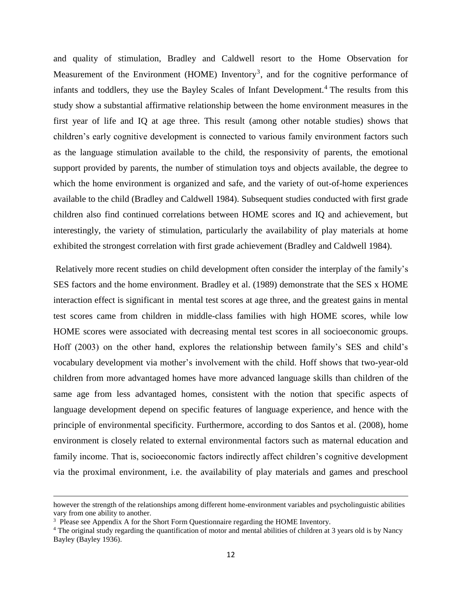and quality of stimulation, Bradley and Caldwell resort to the Home Observation for Measurement of the Environment (HOME) Inventory<sup>3</sup>, and for the cognitive performance of infants and toddlers, they use the Bayley Scales of Infant Development.<sup>4</sup> The results from this study show a substantial affirmative relationship between the home environment measures in the first year of life and IQ at age three. This result (among other notable studies) shows that children's early cognitive development is connected to various family environment factors such as the language stimulation available to the child, the responsivity of parents, the emotional support provided by parents, the number of stimulation toys and objects available, the degree to which the home environment is organized and safe, and the variety of out-of-home experiences available to the child (Bradley and Caldwell 1984). Subsequent studies conducted with first grade children also find continued correlations between HOME scores and IQ and achievement, but interestingly, the variety of stimulation, particularly the availability of play materials at home exhibited the strongest correlation with first grade achievement (Bradley and Caldwell 1984).

Relatively more recent studies on child development often consider the interplay of the family's SES factors and the home environment. Bradley et al. (1989) demonstrate that the SES x HOME interaction effect is significant in mental test scores at age three, and the greatest gains in mental test scores came from children in middle-class families with high HOME scores, while low HOME scores were associated with decreasing mental test scores in all socioeconomic groups. Hoff (2003) on the other hand, explores the relationship between family's SES and child's vocabulary development via mother's involvement with the child. Hoff shows that two-year-old children from more advantaged homes have more advanced language skills than children of the same age from less advantaged homes, consistent with the notion that specific aspects of language development depend on specific features of language experience, and hence with the principle of environmental specificity. Furthermore, according to dos Santos et al. (2008), home environment is closely related to external environmental factors such as maternal education and family income. That is, socioeconomic factors indirectly affect children's cognitive development via the proximal environment, i.e. the availability of play materials and games and preschool

 $\ddot{\phantom{a}}$ 

however the strength of the relationships among different home-environment variables and psycholinguistic abilities vary from one ability to another.

<sup>&</sup>lt;sup>3</sup> Please see Appendix A for the Short Form Questionnaire regarding the HOME Inventory.

<sup>&</sup>lt;sup>4</sup> The original study regarding the quantification of motor and mental abilities of children at 3 years old is by Nancy Bayley (Bayley 1936).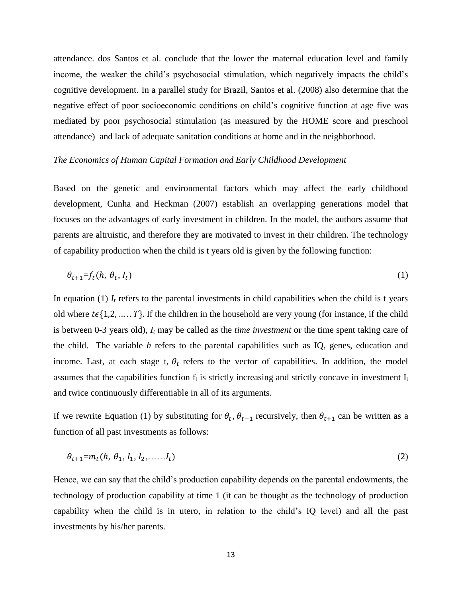attendance. dos Santos et al. conclude that the lower the maternal education level and family income, the weaker the child's psychosocial stimulation, which negatively impacts the child's cognitive development. In a parallel study for Brazil, Santos et al. (2008) also determine that the negative effect of poor socioeconomic conditions on child's cognitive function at age five was mediated by poor psychosocial stimulation (as measured by the HOME score and preschool attendance) and lack of adequate sanitation conditions at home and in the neighborhood.

#### *The Economics of Human Capital Formation and Early Childhood Development*

Based on the genetic and environmental factors which may affect the early childhood development, Cunha and Heckman (2007) establish an overlapping generations model that focuses on the advantages of early investment in children. In the model, the authors assume that parents are altruistic, and therefore they are motivated to invest in their children. The technology of capability production when the child is t years old is given by the following function:

$$
\theta_{t+1} = f_t(h, \theta_t, I_t) \tag{1}
$$

In equation (1)  $I_t$  refers to the parental investments in child capabilities when the child is t years old where  $t \in \{1, 2, ..., T\}$ . If the children in the household are very young (for instance, if the child is between 0-3 years old), *I<sup>t</sup>* may be called as the *time investment* or the time spent taking care of the child. The variable *h* refers to the parental capabilities such as IQ, genes, education and income. Last, at each stage t,  $\theta_t$  refers to the vector of capabilities. In addition, the model assumes that the capabilities function  $f_t$  is strictly increasing and strictly concave in investment  $I_t$ and twice continuously differentiable in all of its arguments.

If we rewrite Equation (1) by substituting for  $\theta_t$ ,  $\theta_{t-1}$  recursively, then  $\theta_{t+1}$  can be written as a function of all past investments as follows:

$$
\theta_{t+1} = m_t(h, \theta_1, I_1, I_2, \dots, I_t) \tag{2}
$$

Hence, we can say that the child's production capability depends on the parental endowments, the technology of production capability at time 1 (it can be thought as the technology of production capability when the child is in utero, in relation to the child's IQ level) and all the past investments by his/her parents.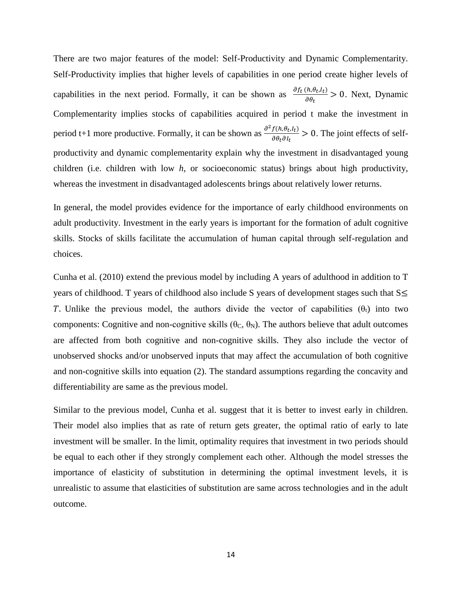There are two major features of the model: Self-Productivity and Dynamic Complementarity. Self-Productivity implies that higher levels of capabilities in one period create higher levels of capabilities in the next period. Formally, it can be shown as  $\frac{\partial f_t(h, \theta_t, I_t)}{\partial \theta}$  $\frac{\partial (u, \theta_t, \theta_t)}{\partial \theta_t} > 0$ . Next, Dynamic Complementarity implies stocks of capabilities acquired in period t make the investment in period t+1 more productive. Formally, it can be shown as  $\frac{\partial^2 f(h, \theta_t, I_t)}{\partial \theta, \theta_t}$  $\frac{\partial f(t, \theta_t, t)}{\partial \theta_t \partial t} > 0$ . The joint effects of selfproductivity and dynamic complementarity explain why the investment in disadvantaged young children (i.e. children with low *h*, or socioeconomic status) brings about high productivity, whereas the investment in disadvantaged adolescents brings about relatively lower returns.

In general, the model provides evidence for the importance of early childhood environments on adult productivity. Investment in the early years is important for the formation of adult cognitive skills. Stocks of skills facilitate the accumulation of human capital through self-regulation and choices.

Cunha et al. (2010) extend the previous model by including A years of adulthood in addition to T years of childhood. T years of childhood also include S years of development stages such that  $S\leq$ T. Unlike the previous model, the authors divide the vector of capabilities  $(\theta_t)$  into two components: Cognitive and non-cognitive skills ( $\theta_C$ ,  $\theta_N$ ). The authors believe that adult outcomes are affected from both cognitive and non-cognitive skills. They also include the vector of unobserved shocks and/or unobserved inputs that may affect the accumulation of both cognitive and non-cognitive skills into equation (2). The standard assumptions regarding the concavity and differentiability are same as the previous model.

Similar to the previous model, Cunha et al. suggest that it is better to invest early in children. Their model also implies that as rate of return gets greater, the optimal ratio of early to late investment will be smaller. In the limit, optimality requires that investment in two periods should be equal to each other if they strongly complement each other. Although the model stresses the importance of elasticity of substitution in determining the optimal investment levels, it is unrealistic to assume that elasticities of substitution are same across technologies and in the adult outcome.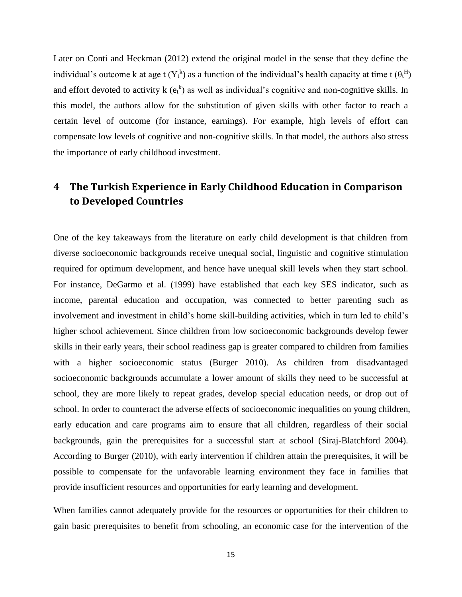Later on Conti and Heckman (2012) extend the original model in the sense that they define the individual's outcome k at age t ( $Y_t^k$ ) as a function of the individual's health capacity at time t ( $\theta_t^H$ ) and effort devoted to activity  $k(e_t^k)$  as well as individual's cognitive and non-cognitive skills. In this model, the authors allow for the substitution of given skills with other factor to reach a certain level of outcome (for instance, earnings). For example, high levels of effort can compensate low levels of cognitive and non-cognitive skills. In that model, the authors also stress the importance of early childhood investment.

# **4 The Turkish Experience in Early Childhood Education in Comparison to Developed Countries**

One of the key takeaways from the literature on early child development is that children from diverse socioeconomic backgrounds receive unequal social, linguistic and cognitive stimulation required for optimum development, and hence have unequal skill levels when they start school. For instance, DeGarmo et al. (1999) have established that each key SES indicator, such as income, parental education and occupation, was connected to better parenting such as involvement and investment in child's home skill-building activities, which in turn led to child's higher school achievement. Since children from low socioeconomic backgrounds develop fewer skills in their early years, their school readiness gap is greater compared to children from families with a higher socioeconomic status (Burger 2010). As children from disadvantaged socioeconomic backgrounds accumulate a lower amount of skills they need to be successful at school, they are more likely to repeat grades, develop special education needs, or drop out of school. In order to counteract the adverse effects of socioeconomic inequalities on young children, early education and care programs aim to ensure that all children, regardless of their social backgrounds, gain the prerequisites for a successful start at school (Siraj-Blatchford 2004). According to Burger (2010), with early intervention if children attain the prerequisites, it will be possible to compensate for the unfavorable learning environment they face in families that provide insufficient resources and opportunities for early learning and development.

When families cannot adequately provide for the resources or opportunities for their children to gain basic prerequisites to benefit from schooling, an economic case for the intervention of the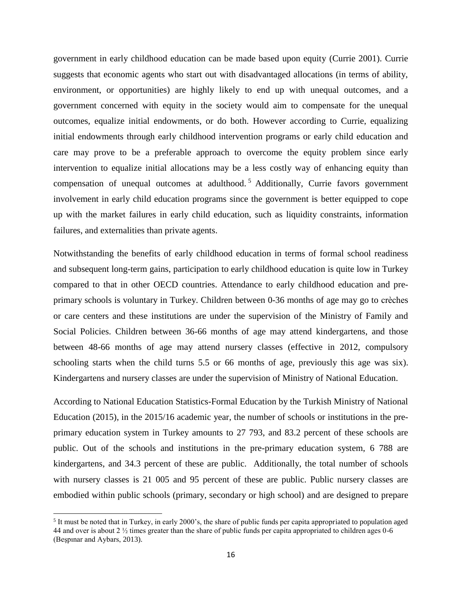government in early childhood education can be made based upon equity (Currie 2001). Currie suggests that economic agents who start out with disadvantaged allocations (in terms of ability, environment, or opportunities) are highly likely to end up with unequal outcomes, and a government concerned with equity in the society would aim to compensate for the unequal outcomes, equalize initial endowments, or do both. However according to Currie, equalizing initial endowments through early childhood intervention programs or early child education and care may prove to be a preferable approach to overcome the equity problem since early intervention to equalize initial allocations may be a less costly way of enhancing equity than compensation of unequal outcomes at adulthood.<sup>5</sup> Additionally, Currie favors government involvement in early child education programs since the government is better equipped to cope up with the market failures in early child education, such as liquidity constraints, information failures, and externalities than private agents.

Notwithstanding the benefits of early childhood education in terms of formal school readiness and subsequent long-term gains, participation to early childhood education is quite low in Turkey compared to that in other OECD countries. Attendance to early childhood education and preprimary schools is voluntary in Turkey. Children between 0-36 months of age may go to crèches or care centers and these institutions are under the supervision of the Ministry of Family and Social Policies. Children between 36-66 months of age may attend kindergartens, and those between 48-66 months of age may attend nursery classes (effective in 2012, compulsory schooling starts when the child turns 5.5 or 66 months of age, previously this age was six). Kindergartens and nursery classes are under the supervision of Ministry of National Education.

According to National Education Statistics-Formal Education by the Turkish Ministry of National Education (2015), in the 2015/16 academic year, the number of schools or institutions in the preprimary education system in Turkey amounts to 27 793, and 83.2 percent of these schools are public. Out of the schools and institutions in the pre-primary education system, 6 788 are kindergartens, and 34.3 percent of these are public. Additionally, the total number of schools with nursery classes is 21 005 and 95 percent of these are public. Public nursery classes are embodied within public schools (primary, secondary or high school) and are designed to prepare

 $\overline{a}$ 

<sup>&</sup>lt;sup>5</sup> It must be noted that in Turkey, in early 2000's, the share of public funds per capita appropriated to population aged 44 and over is about 2 ½ times greater than the share of public funds per capita appropriated to children ages 0-6 (Beşpınar and Aybars, 2013).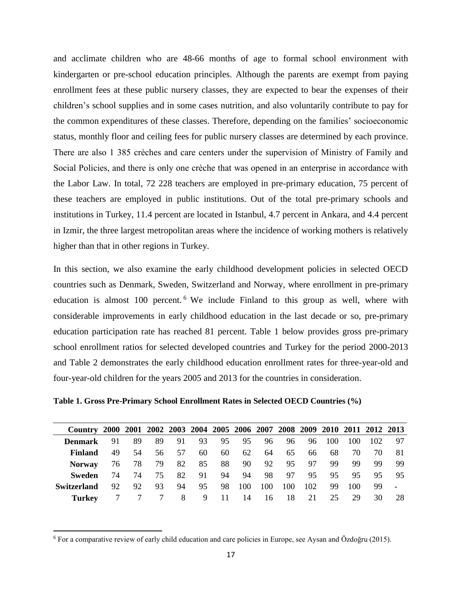and acclimate children who are 48-66 months of age to formal school environment with kindergarten or pre-school education principles. Although the parents are exempt from paying enrollment fees at these public nursery classes, they are expected to bear the expenses of their children's school supplies and in some cases nutrition, and also voluntarily contribute to pay for the common expenditures of these classes. Therefore, depending on the families' socioeconomic status, monthly floor and ceiling fees for public nursery classes are determined by each province. There are also 1 385 crèches and care centers under the supervision of Ministry of Family and Social Policies, and there is only one crèche that was opened in an enterprise in accordance with the Labor Law. In total, 72 228 teachers are employed in pre-primary education, 75 percent of these teachers are employed in public institutions. Out of the total pre-primary schools and institutions in Turkey, 11.4 percent are located in Istanbul, 4.7 percent in Ankara, and 4.4 percent in Izmir, the three largest metropolitan areas where the incidence of working mothers is relatively higher than that in other regions in Turkey.

In this section, we also examine the early childhood development policies in selected OECD countries such as Denmark, Sweden, Switzerland and Norway, where enrollment in pre-primary education is almost 100 percent. <sup>6</sup> We include Finland to this group as well, where with considerable improvements in early childhood education in the last decade or so, pre-primary education participation rate has reached 81 percent. Table 1 below provides gross pre-primary school enrollment ratios for selected developed countries and Turkey for the period 2000-2013 and Table 2 demonstrates the early childhood education enrollment rates for three-year-old and four-year-old children for the years 2005 and 2013 for the countries in consideration.

**Table 1. Gross Pre-Primary School Enrollment Rates in Selected OECD Countries (%)**

| Country 2000 2001 2002 2003 2004 2005 2006 2007 2008 2009 2010 2011 2012 2013 |     |    |     |    |    |    |     |     |     |     |     |     |     |     |
|-------------------------------------------------------------------------------|-----|----|-----|----|----|----|-----|-----|-----|-----|-----|-----|-----|-----|
| Denmark                                                                       | 91  | 89 | 89  | 91 | 93 | 95 | 95  | 96  | 96  | 96  | 100 | 100 | 102 | 97  |
| Finland                                                                       | 49  | 54 | 56  | 57 | 60 | 60 | 62  | 64  | 65  | 66. | 68  | 70  | 70  | 81  |
| <b>Norway</b>                                                                 | 76  | 78 | 79  | 82 | 85 | 88 | 90  | 92  | 95  | 97  | 99  | 99  | 99  | 99  |
| Sweden                                                                        | 74  | 74 | 75. | 82 | 91 | 94 | 94  | 98  | 97  | 95  | 95  | 95. | 95  | 95. |
| <b>Switzerland</b>                                                            | 92. | 92 | 93  | 94 | 95 | 98 | 100 | 100 | 100 | 102 | 99  | 100 | 99. |     |
| Turkey                                                                        |     |    |     | 8  | 9  | 11 | 14  | 16  | 18  | 21  | 25  | 29  | 30  | 28  |

 $\overline{a}$ 

 $6$  For a comparative review of early child education and care policies in Europe, see Aysan and Özdoğru (2015).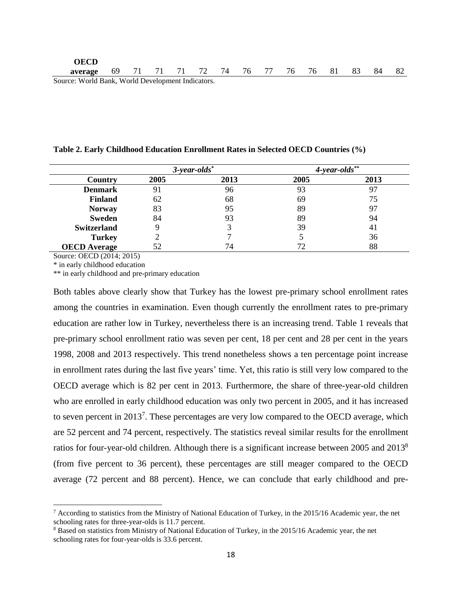#### **Table 2. Early Childhood Education Enrollment Rates in Selected OECD Countries (%)**

|                     | $3$ -year-olds $*$ |      | $4$ -year-olds $**$ |      |  |
|---------------------|--------------------|------|---------------------|------|--|
| Country             | 2005               | 2013 | 2005                | 2013 |  |
| <b>Denmark</b>      | 91                 | 96   | 93                  |      |  |
| <b>Finland</b>      | 62                 | 68   | 69                  | 75   |  |
| <b>Norway</b>       | 83                 | 95   | 89                  | 97   |  |
| <b>Sweden</b>       | 84                 | 93   | 89                  | 94   |  |
| <b>Switzerland</b>  |                    |      | 39                  | 41   |  |
| <b>Turkey</b>       |                    |      |                     | 36   |  |
| <b>OECD</b> Average | 52                 | 74   | 72                  | 88   |  |

Source: OECD (2014; 2015)

 $\overline{a}$ 

\* in early childhood education

\*\* in early childhood and pre-primary education

Both tables above clearly show that Turkey has the lowest pre-primary school enrollment rates among the countries in examination. Even though currently the enrollment rates to pre-primary education are rather low in Turkey, nevertheless there is an increasing trend. Table 1 reveals that pre-primary school enrollment ratio was seven per cent, 18 per cent and 28 per cent in the years 1998, 2008 and 2013 respectively. This trend nonetheless shows a ten percentage point increase in enrollment rates during the last five years' time. Yet, this ratio is still very low compared to the OECD average which is 82 per cent in 2013. Furthermore, the share of three-year-old children who are enrolled in early childhood education was only two percent in 2005, and it has increased to seven percent in  $2013^7$ . These percentages are very low compared to the OECD average, which are 52 percent and 74 percent, respectively. The statistics reveal similar results for the enrollment ratios for four-year-old children. Although there is a significant increase between 2005 and 2013<sup>8</sup> (from five percent to 36 percent), these percentages are still meager compared to the OECD average (72 percent and 88 percent). Hence, we can conclude that early childhood and pre-

 $^7$  According to statistics from the Ministry of National Education of Turkey, in the 2015/16 Academic year, the net schooling rates for three-year-olds is 11.7 percent.

<sup>&</sup>lt;sup>8</sup> Based on statistics from Ministry of National Education of Turkey, in the 2015/16 Academic year, the net schooling rates for four-year-olds is 33.6 percent.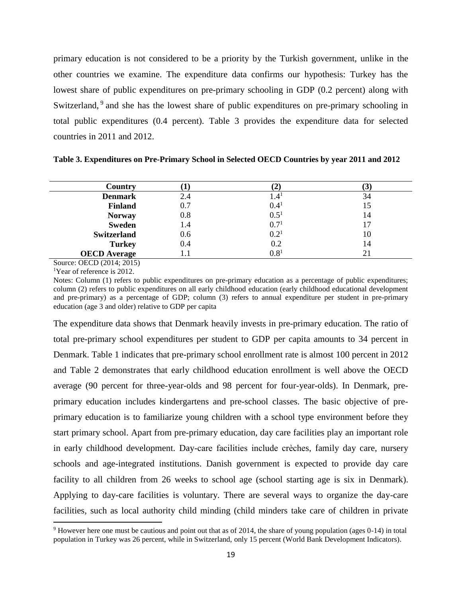primary education is not considered to be a priority by the Turkish government, unlike in the other countries we examine. The expenditure data confirms our hypothesis: Turkey has the lowest share of public expenditures on pre-primary schooling in GDP (0.2 percent) along with Switzerland, <sup>9</sup> and she has the lowest share of public expenditures on pre-primary schooling in total public expenditures (0.4 percent). Table 3 provides the expenditure data for selected countries in 2011 and 2012.

| Country             |       |                  | ر ا |
|---------------------|-------|------------------|-----|
| <b>Denmark</b>      | 2.4   | 1.4 <sup>1</sup> | 34  |
| <b>Finland</b>      | 0.7   | $0.4^{1}$        | 15  |
| <b>Norway</b>       | 0.8   | $0.5^{1}$        | 14  |
| <b>Sweden</b>       | 1.4   | $0.7^{1}$        | 17  |
| <b>Switzerland</b>  | 0.6   | $0.2^{1}$        | 10  |
| <b>Turkey</b>       | 0.4   | 0.2              | 14  |
| <b>OECD</b> Average | l . I | $0.8^{1}$        | 21  |

**Table 3. Expenditures on Pre-Primary School in Selected OECD Countries by year 2011 and 2012**

Source: OECD (2014; 2015)

<sup>1</sup>Year of reference is 2012.

 $\overline{a}$ 

Notes: Column (1) refers to public expenditures on pre-primary education as a percentage of public expenditures; column (2) refers to public expenditures on all early childhood education (early childhood educational development and pre-primary) as a percentage of GDP; column (3) refers to annual expenditure per student in pre-primary education (age 3 and older) relative to GDP per capita

The expenditure data shows that Denmark heavily invests in pre-primary education. The ratio of total pre-primary school expenditures per student to GDP per capita amounts to 34 percent in Denmark. Table 1 indicates that pre-primary school enrollment rate is almost 100 percent in 2012 and Table 2 demonstrates that early childhood education enrollment is well above the OECD average (90 percent for three-year-olds and 98 percent for four-year-olds). In Denmark, preprimary education includes kindergartens and pre-school classes. The basic objective of preprimary education is to familiarize young children with a school type environment before they start primary school. Apart from pre-primary education, day care facilities play an important role in early childhood development. Day-care facilities include crèches, family day care, nursery schools and age-integrated institutions. Danish government is expected to provide day care facility to all children from 26 weeks to school age (school starting age is six in Denmark). Applying to day-care facilities is voluntary. There are several ways to organize the day-care facilities, such as local authority child minding (child minders take care of children in private

 $9$  However here one must be cautious and point out that as of 2014, the share of young population (ages 0-14) in total population in Turkey was 26 percent, while in Switzerland, only 15 percent (World Bank Development Indicators).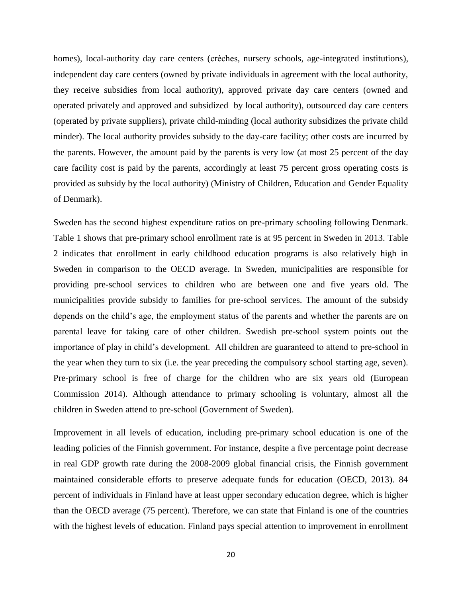homes), local-authority day care centers (crèches, nursery schools, age-integrated institutions), independent day care centers (owned by private individuals in agreement with the local authority, they receive subsidies from local authority), approved private day care centers (owned and operated privately and approved and subsidized by local authority), outsourced day care centers (operated by private suppliers), private child-minding (local authority subsidizes the private child minder). The local authority provides subsidy to the day-care facility; other costs are incurred by the parents. However, the amount paid by the parents is very low (at most 25 percent of the day care facility cost is paid by the parents, accordingly at least 75 percent gross operating costs is provided as subsidy by the local authority) (Ministry of Children, Education and Gender Equality of Denmark).

Sweden has the second highest expenditure ratios on pre-primary schooling following Denmark. Table 1 shows that pre-primary school enrollment rate is at 95 percent in Sweden in 2013. Table 2 indicates that enrollment in early childhood education programs is also relatively high in Sweden in comparison to the OECD average. In Sweden, municipalities are responsible for providing pre-school services to children who are between one and five years old. The municipalities provide subsidy to families for pre-school services. The amount of the subsidy depends on the child's age, the employment status of the parents and whether the parents are on parental leave for taking care of other children. Swedish pre-school system points out the importance of play in child's development. All children are guaranteed to attend to pre-school in the year when they turn to six (i.e. the year preceding the compulsory school starting age, seven). Pre-primary school is free of charge for the children who are six years old (European Commission 2014). Although attendance to primary schooling is voluntary, almost all the children in Sweden attend to pre-school (Government of Sweden).

Improvement in all levels of education, including pre-primary school education is one of the leading policies of the Finnish government. For instance, despite a five percentage point decrease in real GDP growth rate during the 2008-2009 global financial crisis, the Finnish government maintained considerable efforts to preserve adequate funds for education (OECD, 2013). 84 percent of individuals in Finland have at least upper secondary education degree, which is higher than the OECD average (75 percent). Therefore, we can state that Finland is one of the countries with the highest levels of education. Finland pays special attention to improvement in enrollment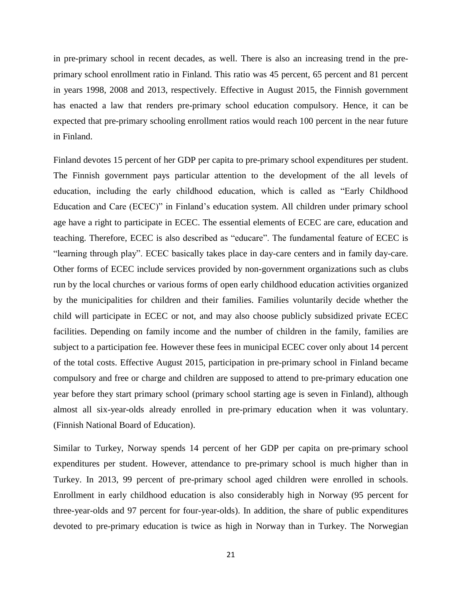in pre-primary school in recent decades, as well. There is also an increasing trend in the preprimary school enrollment ratio in Finland. This ratio was 45 percent, 65 percent and 81 percent in years 1998, 2008 and 2013, respectively. Effective in August 2015, the Finnish government has enacted a law that renders pre-primary school education compulsory. Hence, it can be expected that pre-primary schooling enrollment ratios would reach 100 percent in the near future in Finland.

Finland devotes 15 percent of her GDP per capita to pre-primary school expenditures per student. The Finnish government pays particular attention to the development of the all levels of education, including the early childhood education, which is called as "Early Childhood Education and Care (ECEC)" in Finland's education system. All children under primary school age have a right to participate in ECEC. The essential elements of ECEC are care, education and teaching. Therefore, ECEC is also described as "educare". The fundamental feature of ECEC is "learning through play". ECEC basically takes place in day-care centers and in family day-care. Other forms of ECEC include services provided by non-government organizations such as clubs run by the local churches or various forms of open early childhood education activities organized by the municipalities for children and their families. Families voluntarily decide whether the child will participate in ECEC or not, and may also choose publicly subsidized private ECEC facilities. Depending on family income and the number of children in the family, families are subject to a participation fee. However these fees in municipal ECEC cover only about 14 percent of the total costs. Effective August 2015, participation in pre-primary school in Finland became compulsory and free or charge and children are supposed to attend to pre-primary education one year before they start primary school (primary school starting age is seven in Finland), although almost all six-year-olds already enrolled in pre-primary education when it was voluntary. (Finnish National Board of Education).

Similar to Turkey, Norway spends 14 percent of her GDP per capita on pre-primary school expenditures per student. However, attendance to pre-primary school is much higher than in Turkey. In 2013, 99 percent of pre-primary school aged children were enrolled in schools. Enrollment in early childhood education is also considerably high in Norway (95 percent for three-year-olds and 97 percent for four-year-olds). In addition, the share of public expenditures devoted to pre-primary education is twice as high in Norway than in Turkey. The Norwegian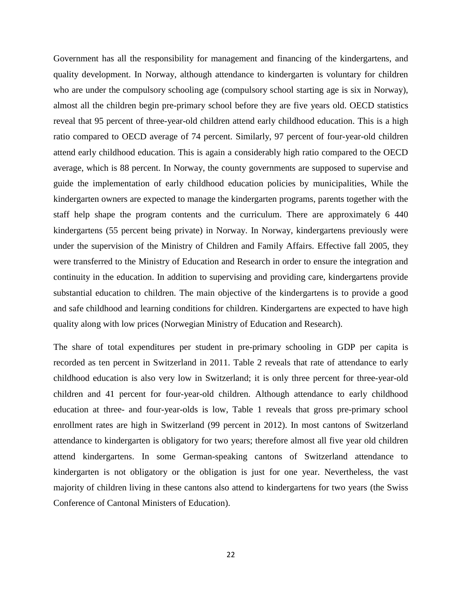Government has all the responsibility for management and financing of the kindergartens, and quality development. In Norway, although attendance to kindergarten is voluntary for children who are under the compulsory schooling age (compulsory school starting age is six in Norway), almost all the children begin pre-primary school before they are five years old. OECD statistics reveal that 95 percent of three-year-old children attend early childhood education. This is a high ratio compared to OECD average of 74 percent. Similarly, 97 percent of four-year-old children attend early childhood education. This is again a considerably high ratio compared to the OECD average, which is 88 percent. In Norway, the county governments are supposed to supervise and guide the implementation of early childhood education policies by municipalities, While the kindergarten owners are expected to manage the kindergarten programs, parents together with the staff help shape the program contents and the curriculum. There are approximately 6 440 kindergartens (55 percent being private) in Norway. In Norway, kindergartens previously were under the supervision of the Ministry of Children and Family Affairs. Effective fall 2005, they were transferred to the Ministry of Education and Research in order to ensure the integration and continuity in the education. In addition to supervising and providing care, kindergartens provide substantial education to children. The main objective of the kindergartens is to provide a good and safe childhood and learning conditions for children. Kindergartens are expected to have high quality along with low prices (Norwegian Ministry of Education and Research).

The share of total expenditures per student in pre-primary schooling in GDP per capita is recorded as ten percent in Switzerland in 2011. Table 2 reveals that rate of attendance to early childhood education is also very low in Switzerland; it is only three percent for three-year-old children and 41 percent for four-year-old children. Although attendance to early childhood education at three- and four-year-olds is low, Table 1 reveals that gross pre-primary school enrollment rates are high in Switzerland (99 percent in 2012). In most cantons of Switzerland attendance to kindergarten is obligatory for two years; therefore almost all five year old children attend kindergartens. In some German-speaking cantons of Switzerland attendance to kindergarten is not obligatory or the obligation is just for one year. Nevertheless, the vast majority of children living in these cantons also attend to kindergartens for two years (the Swiss Conference of Cantonal Ministers of Education).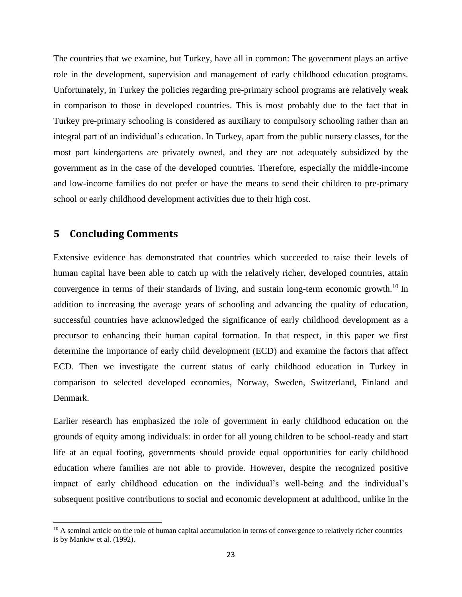The countries that we examine, but Turkey, have all in common: The government plays an active role in the development, supervision and management of early childhood education programs. Unfortunately, in Turkey the policies regarding pre-primary school programs are relatively weak in comparison to those in developed countries. This is most probably due to the fact that in Turkey pre-primary schooling is considered as auxiliary to compulsory schooling rather than an integral part of an individual's education. In Turkey, apart from the public nursery classes, for the most part kindergartens are privately owned, and they are not adequately subsidized by the government as in the case of the developed countries. Therefore, especially the middle-income and low-income families do not prefer or have the means to send their children to pre-primary school or early childhood development activities due to their high cost.

# **5 Concluding Comments**

 $\overline{a}$ 

Extensive evidence has demonstrated that countries which succeeded to raise their levels of human capital have been able to catch up with the relatively richer, developed countries, attain convergence in terms of their standards of living, and sustain long-term economic growth.<sup>10</sup> In addition to increasing the average years of schooling and advancing the quality of education, successful countries have acknowledged the significance of early childhood development as a precursor to enhancing their human capital formation. In that respect, in this paper we first determine the importance of early child development (ECD) and examine the factors that affect ECD. Then we investigate the current status of early childhood education in Turkey in comparison to selected developed economies, Norway, Sweden, Switzerland, Finland and Denmark.

Earlier research has emphasized the role of government in early childhood education on the grounds of equity among individuals: in order for all young children to be school-ready and start life at an equal footing, governments should provide equal opportunities for early childhood education where families are not able to provide. However, despite the recognized positive impact of early childhood education on the individual's well-being and the individual's subsequent positive contributions to social and economic development at adulthood, unlike in the

<sup>&</sup>lt;sup>10</sup> A seminal article on the role of human capital accumulation in terms of convergence to relatively richer countries is by Mankiw et al. (1992).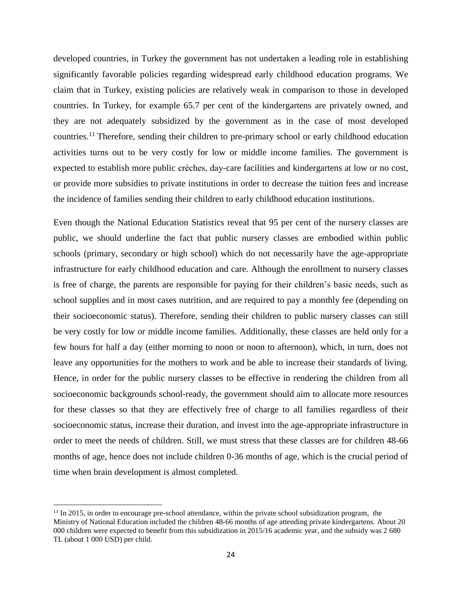developed countries, in Turkey the government has not undertaken a leading role in establishing significantly favorable policies regarding widespread early childhood education programs. We claim that in Turkey, existing policies are relatively weak in comparison to those in developed countries. In Turkey, for example 65.7 per cent of the kindergartens are privately owned, and they are not adequately subsidized by the government as in the case of most developed countries.<sup>11</sup> Therefore, sending their children to pre-primary school or early childhood education activities turns out to be very costly for low or middle income families. The government is expected to establish more public crèches, day-care facilities and kindergartens at low or no cost, or provide more subsidies to private institutions in order to decrease the tuition fees and increase the incidence of families sending their children to early childhood education institutions.

Even though the National Education Statistics reveal that 95 per cent of the nursery classes are public, we should underline the fact that public nursery classes are embodied within public schools (primary, secondary or high school) which do not necessarily have the age-appropriate infrastructure for early childhood education and care. Although the enrollment to nursery classes is free of charge, the parents are responsible for paying for their children's basic needs, such as school supplies and in most cases nutrition, and are required to pay a monthly fee (depending on their socioeconomic status). Therefore, sending their children to public nursery classes can still be very costly for low or middle income families. Additionally, these classes are held only for a few hours for half a day (either morning to noon or noon to afternoon), which, in turn, does not leave any opportunities for the mothers to work and be able to increase their standards of living. Hence, in order for the public nursery classes to be effective in rendering the children from all socioeconomic backgrounds school-ready, the government should aim to allocate more resources for these classes so that they are effectively free of charge to all families regardless of their socioeconomic status, increase their duration, and invest into the age-appropriate infrastructure in order to meet the needs of children. Still, we must stress that these classes are for children 48-66 months of age, hence does not include children 0-36 months of age, which is the crucial period of time when brain development is almost completed.

 $\overline{a}$ 

 $11$  In 2015, in order to encourage pre-school attendance, within the private school subsidization program, the Ministry of National Education included the children 48-66 months of age attending private kindergartens. About 20 000 children were expected to benefit from this subsidization in 2015/16 academic year, and the subsidy was 2 680 TL (about 1 000 USD) per child.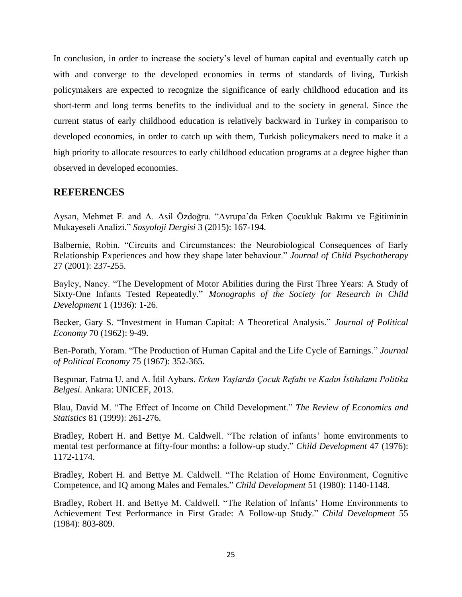In conclusion, in order to increase the society's level of human capital and eventually catch up with and converge to the developed economies in terms of standards of living, Turkish policymakers are expected to recognize the significance of early childhood education and its short-term and long terms benefits to the individual and to the society in general. Since the current status of early childhood education is relatively backward in Turkey in comparison to developed economies, in order to catch up with them, Turkish policymakers need to make it a high priority to allocate resources to early childhood education programs at a degree higher than observed in developed economies.

# **REFERENCES**

Aysan, Mehmet F. and A. Asil Özdoğru. "Avrupa'da Erken Çocukluk Bakımı ve Eğitiminin Mukayeseli Analizi." *Sosyoloji Dergisi* 3 (2015): 167-194.

Balbernie, Robin. "Circuits and Circumstances: the Neurobiological Consequences of Early Relationship Experiences and how they shape later behaviour." *Journal of Child Psychotherapy* 27 (2001): 237-255.

Bayley, Nancy. "The Development of Motor Abilities during the First Three Years: A Study of Sixty-One Infants Tested Repeatedly." *Monographs of the Society for Research in Child Development* 1 (1936): 1-26.

Becker, Gary S. "Investment in Human Capital: A Theoretical Analysis." *Journal of Political Economy* 70 (1962): 9-49.

Ben-Porath, Yoram. "The Production of Human Capital and the Life Cycle of Earnings." *Journal of Political Economy* 75 (1967): 352-365.

Beşpınar, Fatma U. and A. İdil Aybars. *Erken Yaşlarda Çocuk Refahı ve Kadın İstihdamı Politika Belgesi*. Ankara: UNICEF, 2013.

Blau, David M. "The Effect of Income on Child Development." *The Review of Economics and Statistics* 81 (1999): 261-276.

Bradley, Robert H. and Bettye M. Caldwell. "The relation of infants' home environments to mental test performance at fifty-four months: a follow-up study." *Child Development* 47 (1976): 1172-1174.

Bradley, Robert H. and Bettye M. Caldwell. "The Relation of Home Environment, Cognitive Competence, and IQ among Males and Females." *Child Development* 51 (1980): 1140-1148.

Bradley, Robert H. and Bettye M. Caldwell. "The Relation of Infants' Home Environments to Achievement Test Performance in First Grade: A Follow-up Study." *Child Development* 55 (1984): 803-809.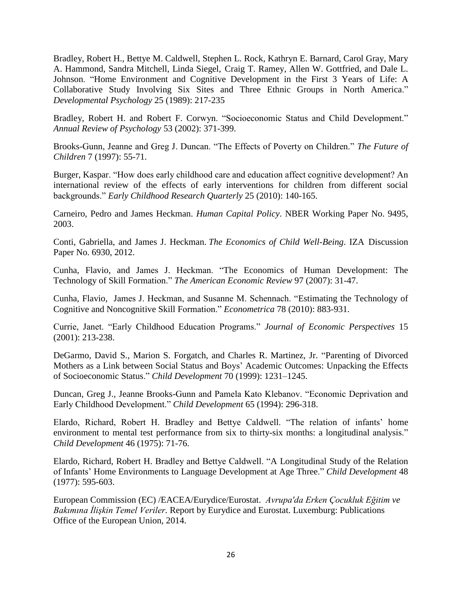Bradley, Robert H., Bettye M. Caldwell, Stephen L. Rock, Kathryn E. Barnard, Carol Gray, Mary A. Hammond, Sandra Mitchell, Linda Siegel, Craig T. Ramey, Allen W. Gottfried, and Dale L. Johnson. "Home Environment and Cognitive Development in the First 3 Years of Life: A Collaborative Study Involving Six Sites and Three Ethnic Groups in North America." *Developmental Psychology* 25 (1989): 217-235

Bradley, Robert H. and Robert F. Corwyn. "Socioeconomic Status and Child Development." *Annual Review of Psychology* 53 (2002): 371-399.

Brooks-Gunn, Jeanne and Greg J. Duncan. "The Effects of Poverty on Children." *The Future of Children* 7 (1997): 55-71.

Burger, Kaspar. "How does early childhood care and education affect cognitive development? An international review of the effects of early interventions for children from different social backgrounds." *Early Childhood Research Quarterly* 25 (2010): 140-165.

Carneiro, Pedro and James Heckman. *Human Capital Policy*. NBER Working Paper No. 9495, 2003.

Conti, Gabriella, and James J. Heckman. *The Economics of Child Well-Being*. IZA Discussion Paper No. 6930, 2012.

Cunha, Flavio, and James J. Heckman. "The Economics of Human Development: The Technology of Skill Formation." *The American Economic Review* 97 (2007): 31-47.

Cunha, Flavio, James J. Heckman, and Susanne M. Schennach. "Estimating the Technology of Cognitive and Noncognitive Skill Formation." *Econometrica* 78 (2010): 883-931.

Currie, Janet. "Early Childhood Education Programs." *Journal of Economic Perspectives* 15 (2001): 213-238.

DeGarmo, David S., Marion S. Forgatch, and Charles R. Martinez, Jr. "Parenting of Divorced Mothers as a Link between Social Status and Boys' Academic Outcomes: Unpacking the Effects of Socioeconomic Status." *Child Development* 70 (1999): 1231–1245.

Duncan, Greg J., Jeanne Brooks-Gunn and Pamela Kato Klebanov. "Economic Deprivation and Early Childhood Development." *Child Development* 65 (1994): 296-318.

Elardo, Richard, Robert H. Bradley and Bettye Caldwell. "The relation of infants' home environment to mental test performance from six to thirty-six months: a longitudinal analysis." *Child Development* 46 (1975): 71-76.

Elardo, Richard, Robert H. Bradley and Bettye Caldwell. "A Longitudinal Study of the Relation of Infants' Home Environments to Language Development at Age Three." *Child Development* 48 (1977): 595-603.

European Commission (EC) /EACEA/Eurydice/Eurostat. *Avrupa'da Erken Çocukluk Eğitim ve Bakımına İlişkin Temel Veriler.* Report by Eurydice and Eurostat. Luxemburg: Publications Office of the European Union, 2014.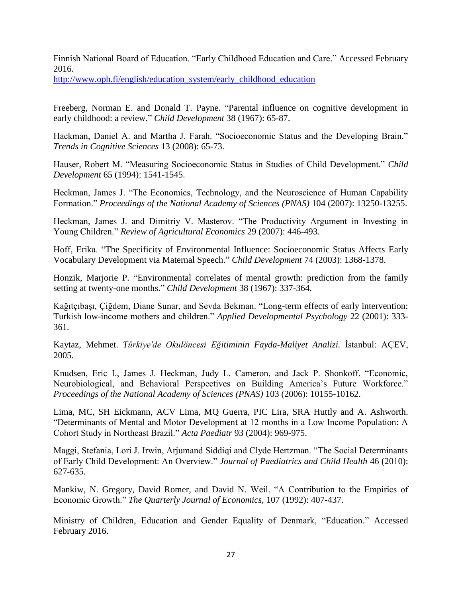Finnish National Board of Education. "Early Childhood Education and Care." Accessed February 2016.

[http://www.oph.fi/english/education\\_system/early\\_childhood\\_education](http://www.oph.fi/english/education_system/early_childhood_education)

Freeberg, Norman E. and Donald T. Payne. "Parental influence on cognitive development in early childhood: a review." *Child Development* 38 (1967): 65-87.

Hackman, Daniel A. and Martha J. Farah. "Socioeconomic Status and the Developing Brain." *Trends in Cognitive Sciences* 13 (2008): 65-73.

Hauser, Robert M. "Measuring Socioeconomic Status in Studies of Child Development." *Child Development* 65 (1994): 1541-1545.

Heckman, James J. "The Economics, Technology, and the Neuroscience of Human Capability Formation." *Proceedings of the National Academy of Sciences (PNAS)* 104 (2007): 13250-13255.

Heckman, James J. and Dimitriy V. Masterov. "The Productivity Argument in Investing in Young Children." *Review of Agricultural Economics* 29 (2007): 446-493.

Hoff, Erika. "The Specificity of Environmental Influence: Socioeconomic Status Affects Early Vocabulary Development via Maternal Speech." *Child Development* 74 (2003): 1368-1378.

Honzik, Marjorie P. "Environmental correlates of mental growth: prediction from the family setting at twenty-one months." *Child Development* 38 (1967): 337-364.

Kağıtçıbaşı, Çiğdem, Diane Sunar, and Sevda Bekman. "Long-term effects of early intervention: Turkish low-income mothers and children." *Applied Developmental Psychology* 22 (2001): 333- 361.

Kaytaz, Mehmet. *Türkiye'de Okulöncesi Eğitiminin Fayda-Maliyet Analizi.* İstanbul: AÇEV, 2005.

Knudsen, Eric I., James J. Heckman, Judy L. Cameron, and Jack P. Shonkoff. "Economic, Neurobiological, and Behavioral Perspectives on Building America's Future Workforce." *Proceedings of the National Academy of Sciences (PNAS)* 103 (2006): 10155-10162.

Lima, MC, SH Eickmann, ACV Lima, MQ Guerra, PIC Lira, SRA Huttly and A. Ashworth. "Determinants of Mental and Motor Development at 12 months in a Low Income Population: A Cohort Study in Northeast Brazil." *Acta Paediatr* 93 (2004): 969-975.

Maggi, Stefania, Lori J. Irwin, Arjumand Siddiqi and Clyde Hertzman. "The Social Determinants of Early Child Development: An Overview." *Journal of Paediatrics and Child Health* 46 (2010): 627-635.

Mankiw, N. Gregory, David Romer, and David N. Weil. "A Contribution to the Empirics of Economic Growth." *The Quarterly Journal of Economics,* 107 (1992): 407-437.

Ministry of Children, Education and Gender Equality of Denmark, "Education." Accessed February 2016.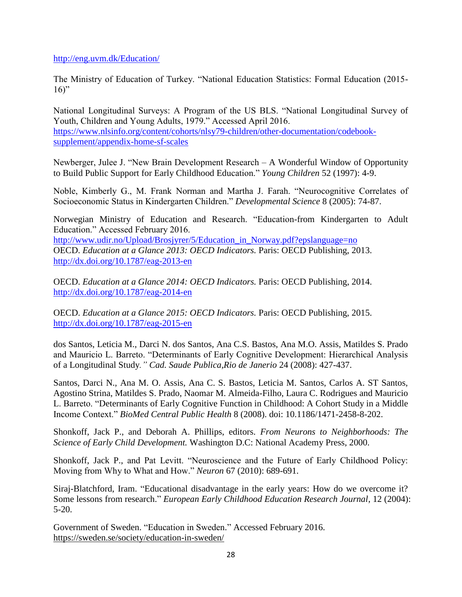<http://eng.uvm.dk/Education/>

The Ministry of Education of Turkey. "National Education Statistics: Formal Education (2015-  $16$ "

National Longitudinal Surveys: A Program of the US BLS. "National Longitudinal Survey of Youth, Children and Young Adults, 1979." Accessed April 2016. [https://www.nlsinfo.org/content/cohorts/nlsy79-children/other-documentation/codebook](https://www.nlsinfo.org/content/cohorts/nlsy79-children/other-documentation/codebook-supplement/appendix-home-sf-scales)[supplement/appendix-home-sf-scales](https://www.nlsinfo.org/content/cohorts/nlsy79-children/other-documentation/codebook-supplement/appendix-home-sf-scales)

Newberger, Julee J. "New Brain Development Research – A Wonderful Window of Opportunity to Build Public Support for Early Childhood Education." *Young Children* 52 (1997): 4-9.

Noble, Kimberly G., M. Frank Norman and Martha J. Farah. "Neurocognitive Correlates of Socioeconomic Status in Kindergarten Children." *Developmental Science* 8 (2005): 74-87.

Norwegian Ministry of Education and Research. "Education-from Kindergarten to Adult Education." Accessed February 2016.

[http://www.udir.no/Upload/Brosjyrer/5/Education\\_in\\_Norway.pdf?epslanguage=no](http://www.udir.no/Upload/Brosjyrer/5/Education_in_Norway.pdf?epslanguage=no) OECD. *Education at a Glance 2013: OECD Indicators.* Paris: OECD Publishing, 2013. <http://dx.doi.org/10.1787/eag-2013-en>

OECD. *Education at a Glance 2014: OECD Indicators.* Paris: OECD Publishing, 2014. <http://dx.doi.org/10.1787/eag-2014-en>

OECD. *Education at a Glance 2015: OECD Indicators.* Paris: OECD Publishing, 2015. <http://dx.doi.org/10.1787/eag-2015-en>

dos Santos, Leticia M., Darci N. dos Santos, Ana C.S. Bastos, Ana M.O. Assis, Matildes S. Prado and Mauricio L. Barreto. "Determinants of Early Cognitive Development: Hierarchical Analysis of a Longitudinal Study*." Cad. Saude Publica,Rio de Janerio* 24 (2008): 427-437.

Santos, Darci N., Ana M. O. Assis, Ana C. S. Bastos, Leticia M. Santos, Carlos A. ST Santos, Agostino Strina, Matildes S. Prado, Naomar M. Almeida-Filho, Laura C. Rodrigues and Mauricio L. Barreto. "Determinants of Early Cognitive Function in Childhood: A Cohort Study in a Middle Income Context." *BioMed Central Public Health* 8 (2008). doi: 10.1186/1471-2458-8-202.

Shonkoff, Jack P., and Deborah A. Phillips, editors. *From Neurons to Neighborhoods: The Science of Early Child Development.* Washington D.C: National Academy Press, 2000.

Shonkoff, Jack P., and Pat Levitt. "Neuroscience and the Future of Early Childhood Policy: Moving from Why to What and How." *Neuron* 67 (2010): 689-691.

Siraj-Blatchford, Iram. "Educational disadvantage in the early years: How do we overcome it? Some lessons from research." *European Early Childhood Education Research Journal*, 12 (2004): 5-20.

Government of Sweden. "Education in Sweden." Accessed February 2016. <https://sweden.se/society/education-in-sweden/>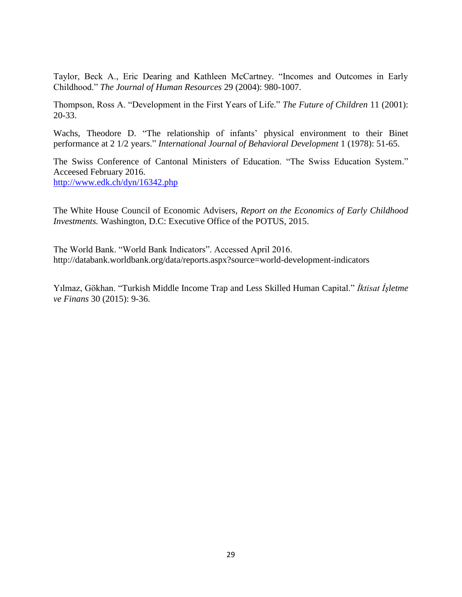Taylor, Beck A., Eric Dearing and Kathleen McCartney. "Incomes and Outcomes in Early Childhood." *The Journal of Human Resources* 29 (2004): 980-1007.

Thompson, Ross A. "Development in the First Years of Life." *The Future of Children* 11 (2001): 20-33.

Wachs, Theodore D. "The relationship of infants' physical environment to their Binet performance at 2 1/2 years." *International Journal of Behavioral Development* 1 (1978): 51-65.

The Swiss Conference of Cantonal Ministers of Education. "The Swiss Education System." Acceesed February 2016. <http://www.edk.ch/dyn/16342.php>

The White House Council of Economic Advisers, *Report on the Economics of Early Childhood Investments.* Washington, D.C: Executive Office of the POTUS, 2015.

The World Bank. "World Bank Indicators". Accessed April 2016. http://databank.worldbank.org/data/reports.aspx?source=world-development-indicators

Yılmaz, Gökhan. "Turkish Middle Income Trap and Less Skilled Human Capital." *İktisat İşletme ve Finans* 30 (2015): 9-36.